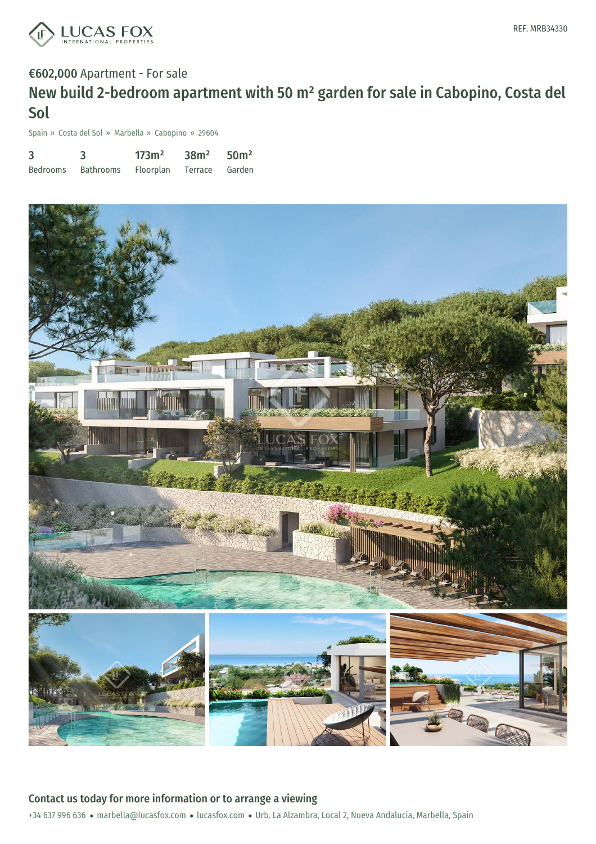

### €602,000 Apartment - For sale

# New build 2-bedroom apartment with 50 m² garden for sale in Cabopino, Costa del Sol

Spain » Costa del Sol » Marbella » Cabopino » 29604

| 3               |                  | 173m <sup>2</sup> | 38m <sup>2</sup> | 50 <sup>m²</sup> |
|-----------------|------------------|-------------------|------------------|------------------|
| <b>Bedrooms</b> | <b>Bathrooms</b> | Floorplan         | Terrace          | Garden           |



+34 637 996 636 · marbella@lucasfox.com · lucasfox.com · Urb. La Alzambra, Local 2, Nueva Andalucia, Marbella, Spain Contact us today for more information or to arrange a viewing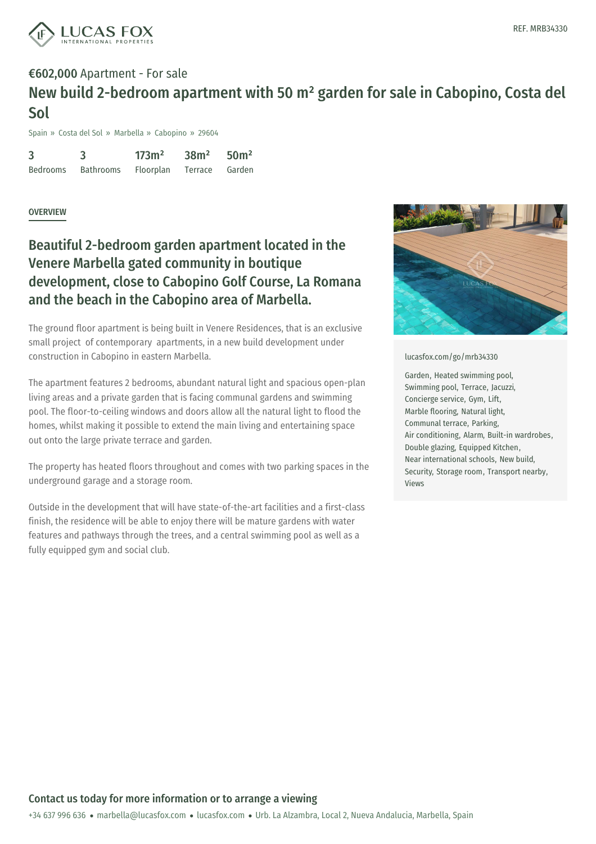

## €602,000 Apartment - For sale New build 2-bedroom apartment with 50 m² garden for sale in Cabopino, Costa del Sol

Spain » Costa del Sol » Marbella » Cabopino » 29604

| 3               |                  | 173m <sup>2</sup> | 38m <sup>2</sup> | 50 <sup>m²</sup> |
|-----------------|------------------|-------------------|------------------|------------------|
| <b>Bedrooms</b> | <b>Bathrooms</b> | <b>Floorplan</b>  | Terrace          | Garden           |

#### **OVERVIEW**

## Beautiful 2-bedroom garden apartment located in the Venere Marbella gated community in boutique development, close to Cabopino Golf Course, La Romana and the beach in the Cabopino area of Marbella.

The ground floor apartment is being built in Venere Residences, that is an exclusive small project of contemporary apartments, in a new build development under construction in Cabopino in eastern Marbella.

The apartment features 2 bedrooms, abundant natural light and spacious open-plan living areas and a private garden that is facing communal gardens and swimming pool. The floor-to-ceiling windows and doors allow all the natural light to flood the homes, whilst making it possible to extend the main living and entertaining space out onto the large private terrace and garden.

The property has heated floors throughout and comes with two parking spaces in the underground garage and a storage room.

Outside in the development that will have state-of-the-art facilities and a first-class finish, the residence will be able to enjoy there will be mature gardens with water features and pathways through the trees, and a central swimming pool as well as a fully equipped gym and social club.



#### [lucasfox.com/go/mrb34330](https://www.lucasfox.com/go/mrb34330)

Garden, Heated swimming pool, Swimming pool, Terrace, Jacuzzi, Concierge service, Gym, Lift, Marble flooring, Natural light, Communal terrace, Parking, Air conditioning, Alarm, Built-in wardrobes, Double glazing, Equipped Kitchen, Near international schools, New build, Security, Storage room, Transport nearby, Views